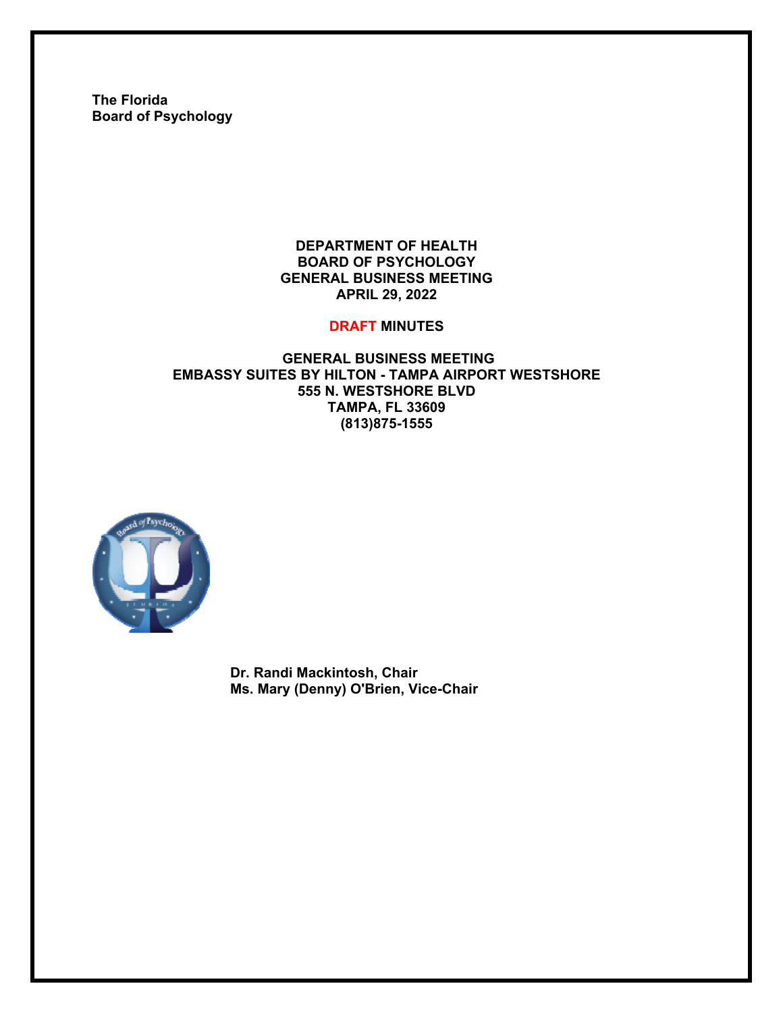**The Florida Board of Psychology** 

#### **DEPARTMENT OF HEALTH BOARD OF PSYCHOLOGY GENERAL BUSINESS MEETING APRIL 29, 2022**

#### **DRAFT MINUTES**

## **GENERAL BUSINESS MEETING EMBASSY SUITES BY HILTON - TAMPA AIRPORT WESTSHORE 555 N. WESTSHORE BLVD TAMPA, FL 33609 (813)875-1555**



**Dr. Randi Mackintosh, Chair Ms. Mary (Denny) O'Brien, Vice-Chair**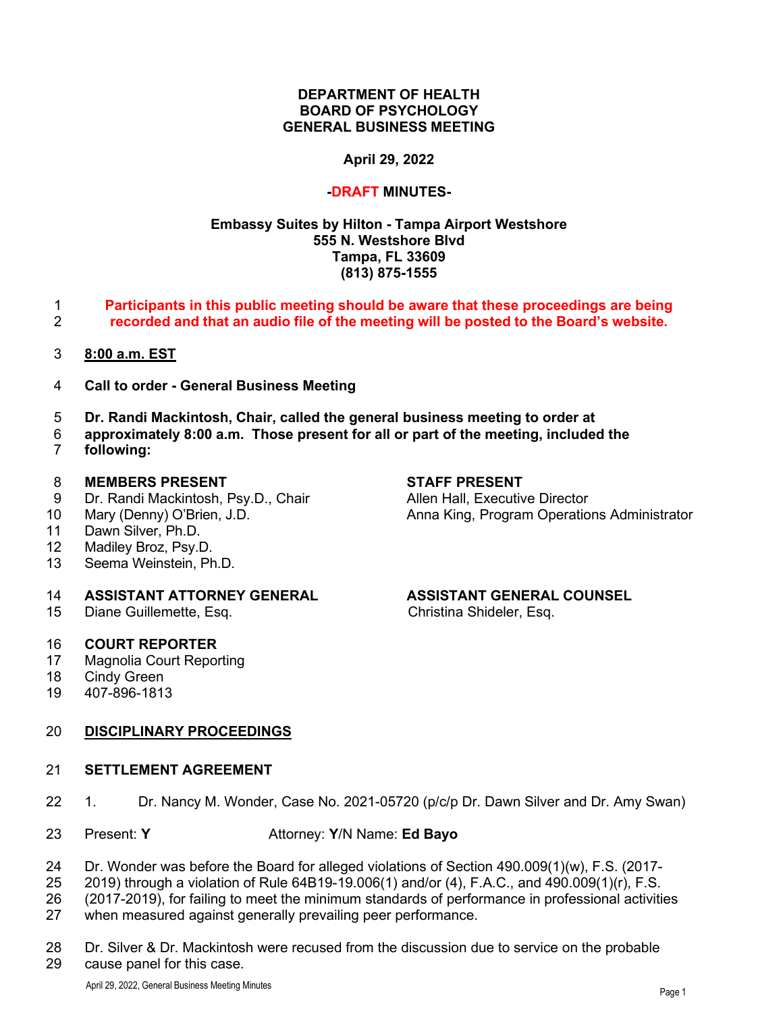#### **DEPARTMENT OF HEALTH BOARD OF PSYCHOLOGY GENERAL BUSINESS MEETING**

## **April 29, 2022**

#### **-DRAFT MINUTES-**

## **Embassy Suites by Hilton - Tampa Airport Westshore 555 N. Westshore Blvd Tampa, FL 33609 (813) 875-1555**

- **Participants in this public meeting should be aware that these proceedings are being recorded and that an audio file of the meeting will be posted to the Board's website.**
- **8:00 a.m. EST**
- **Call to order General Business Meeting**
- **Dr. Randi Mackintosh, Chair, called the general business meeting to order at**
- **approximately 8:00 a.m. Those present for all or part of the meeting, included the**  following:

- 8 **MEMBERS PRESENT**<br>
9 Dr. Randi Mackintosh, Psy.D., Chair **State Allen Hall, Executive Director** Dr. Randi Mackintosh, Psy.D., Chair
- 
- Dawn Silver, Ph.D.
- 12 Madiley Broz, Psy.D.<br>13 Seema Weinstein. Ph
- Seema Weinstein, Ph.D.

# **ASSISTANT ATTORNEY GENERAL ASSISTANT GENERAL COUNSEL**

Diane Guillemette, Esq.

# **COURT REPORTER**

- Magnolia Court Reporting
- Cindy Green
- 407-896-1813

# **DISCIPLINARY PROCEEDINGS**

#### **SETTLEMENT AGREEMENT**

- 1. Dr. Nancy M. Wonder, Case No. 2021-05720 (p/c/p Dr. Dawn Silver and Dr. Amy Swan)
- Present: **Y** Attorney: **Y**/N Name: **Ed Bayo**
- Dr. Wonder was before the Board for alleged violations of Section 490.009(1)(w), F.S. (2017-
- 2019) through a violation of Rule 64B19-19.006(1) and/or (4), F.A.C., and 490.009(1)(r), F.S.
- (2017-2019), for failing to meet the minimum standards of performance in professional activities
- when measured against generally prevailing peer performance.
- Dr. Silver & Dr. Mackintosh were recused from the discussion due to service on the probable cause panel for this case.

Mary (Denny) O'Brien, J.D. Anna King, Program Operations Administrator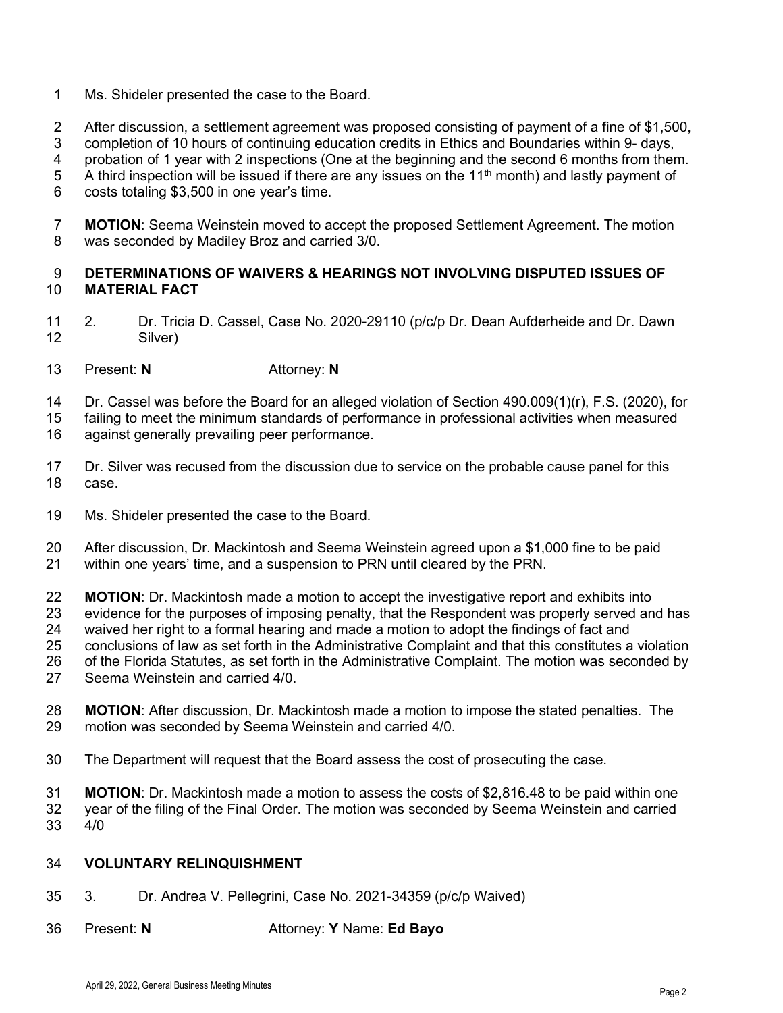- Ms. Shideler presented the case to the Board.
- After discussion, a settlement agreement was proposed consisting of payment of a fine of \$1,500,
- completion of 10 hours of continuing education credits in Ethics and Boundaries within 9- days,
- 4 probation of 1 year with 2 inspections (One at the beginning and the second 6 months from them.<br>5 A third inspection will be issued if there are any issues on the 11<sup>th</sup> month) and lastly payment of
- A third inspection will be issued if there are any issues on the  $11<sup>th</sup>$  month) and lastly payment of
- costs totaling \$3,500 in one year's time.
- **MOTION**: Seema Weinstein moved to accept the proposed Settlement Agreement. The motion was seconded by Madiley Broz and carried 3/0.

# **DETERMINATIONS OF WAIVERS & HEARINGS NOT INVOLVING DISPUTED ISSUES OF MATERIAL FACT**

- 2. Dr. Tricia D. Cassel, Case No. 2020-29110 (p/c/p Dr. Dean Aufderheide and Dr. Dawn Silver)
- Present: **N** Attorney: **N**
- Dr. Cassel was before the Board for an alleged violation of Section 490.009(1)(r), F.S. (2020), for
- failing to meet the minimum standards of performance in professional activities when measured
- against generally prevailing peer performance.
- Dr. Silver was recused from the discussion due to service on the probable cause panel for this case.
- Ms. Shideler presented the case to the Board.
- After discussion, Dr. Mackintosh and Seema Weinstein agreed upon a \$1,000 fine to be paid
- within one years' time, and a suspension to PRN until cleared by the PRN.
- 22 **MOTION**: Dr. Mackintosh made a motion to accept the investigative report and exhibits into<br>23 evidence for the purposes of imposing penalty, that the Respondent was properly served an
- evidence for the purposes of imposing penalty, that the Respondent was properly served and has
- waived her right to a formal hearing and made a motion to adopt the findings of fact and
- conclusions of law as set forth in the Administrative Complaint and that this constitutes a violation
- of the Florida Statutes, as set forth in the Administrative Complaint. The motion was seconded by
- Seema Weinstein and carried 4/0.
- **MOTION**: After discussion, Dr. Mackintosh made a motion to impose the stated penalties. The 29 motion was seconded by Seema Weinstein and carried 4/0. motion was seconded by Seema Weinstein and carried 4/0.
- The Department will request that the Board assess the cost of prosecuting the case.
- **MOTION**: Dr. Mackintosh made a motion to assess the costs of \$2,816.48 to be paid within one year of the filing of the Final Order. The motion was seconded by Seema Weinstein and carried 4/0

# **VOLUNTARY RELINQUISHMENT**

- 3. Dr. Andrea V. Pellegrini, Case No. 2021-34359 (p/c/p Waived)
- Present: **N** Attorney: **Y** Name: **Ed Bayo**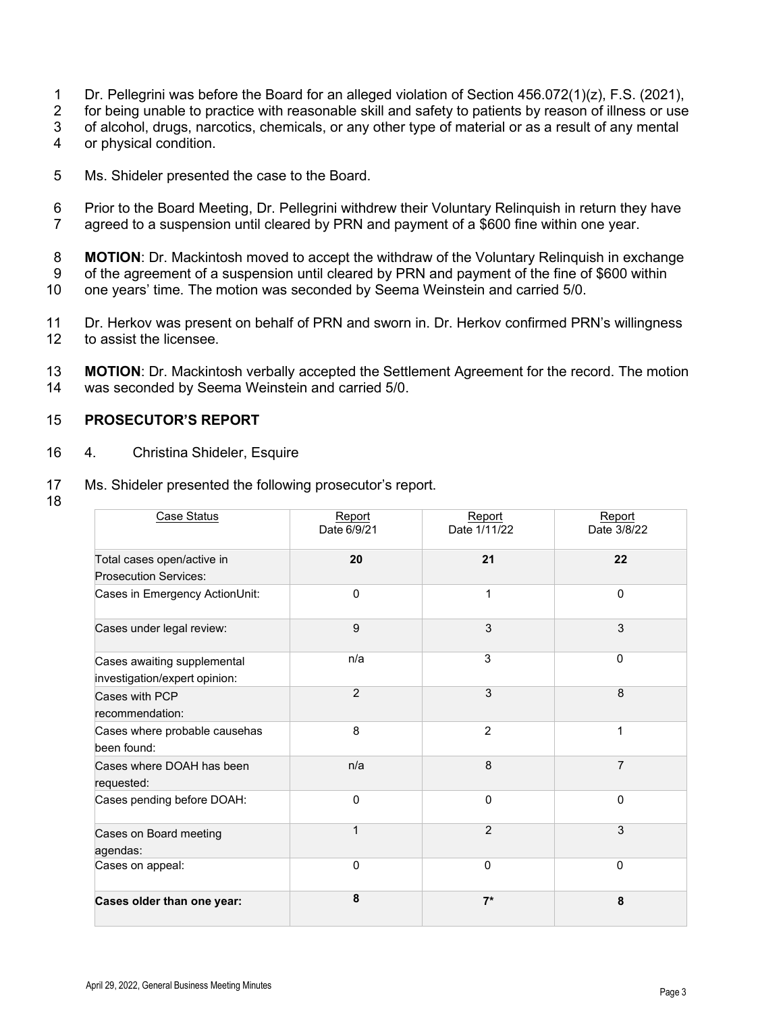- 1 Dr. Pellegrini was before the Board for an alleged violation of Section 456.072(1)(z), F.S. (2021),
- 2 for being unable to practice with reasonable skill and safety to patients by reason of illness or use
- 3 of alcohol, drugs, narcotics, chemicals, or any other type of material or as a result of any mental
- 4 or physical condition.
- 5 Ms. Shideler presented the case to the Board.
- 6 Prior to the Board Meeting, Dr. Pellegrini withdrew their Voluntary Relinquish in return they have
- 7 agreed to a suspension until cleared by PRN and payment of a \$600 fine within one year.
- 8 **MOTION**: Dr. Mackintosh moved to accept the withdraw of the Voluntary Relinquish in exchange<br>9 of the agreement of a suspension until cleared by PRN and payment of the fine of \$600 within of the agreement of a suspension until cleared by PRN and payment of the fine of \$600 within
- 10 one years' time. The motion was seconded by Seema Weinstein and carried 5/0.
- 11 Dr. Herkov was present on behalf of PRN and sworn in. Dr. Herkov confirmed PRN's willingness 12<br>12 to assist the licensee. to assist the licensee.
- 13 **MOTION**: Dr. Mackintosh verbally accepted the Settlement Agreement for the record. The motion 14 was seconded by Seema Weinstein and carried 5/0.

#### 15 **PROSECUTOR'S REPORT**

- 16 4. Christina Shideler, Esquire
- 17 Ms. Shideler presented the following prosecutor's report.
- 18

| Case Status                                                  | Report<br>Date 6/9/21 | Report<br>Date 1/11/22 | Report<br>Date 3/8/22 |
|--------------------------------------------------------------|-----------------------|------------------------|-----------------------|
| Total cases open/active in<br><b>Prosecution Services:</b>   | 20                    | 21                     | 22                    |
| Cases in Emergency ActionUnit:                               | $\Omega$              | 1                      | $\mathbf 0$           |
| Cases under legal review:                                    | 9                     | 3                      | 3                     |
| Cases awaiting supplemental<br>investigation/expert opinion: | n/a                   | 3                      | $\Omega$              |
| Cases with PCP<br>recommendation:                            | $\overline{2}$        | 3                      | 8                     |
| Cases where probable causehas<br>been found:                 | 8                     | 2                      | 1                     |
| Cases where DOAH has been<br>requested:                      | n/a                   | 8                      | $\overline{7}$        |
| Cases pending before DOAH:                                   | $\Omega$              | $\mathbf{0}$           | $\Omega$              |
| Cases on Board meeting<br>agendas:                           | 1                     | $\overline{2}$         | 3                     |
| Cases on appeal:                                             | $\Omega$              | $\Omega$               | $\mathbf{0}$          |
| Cases older than one year:                                   | 8                     | $7*$                   | 8                     |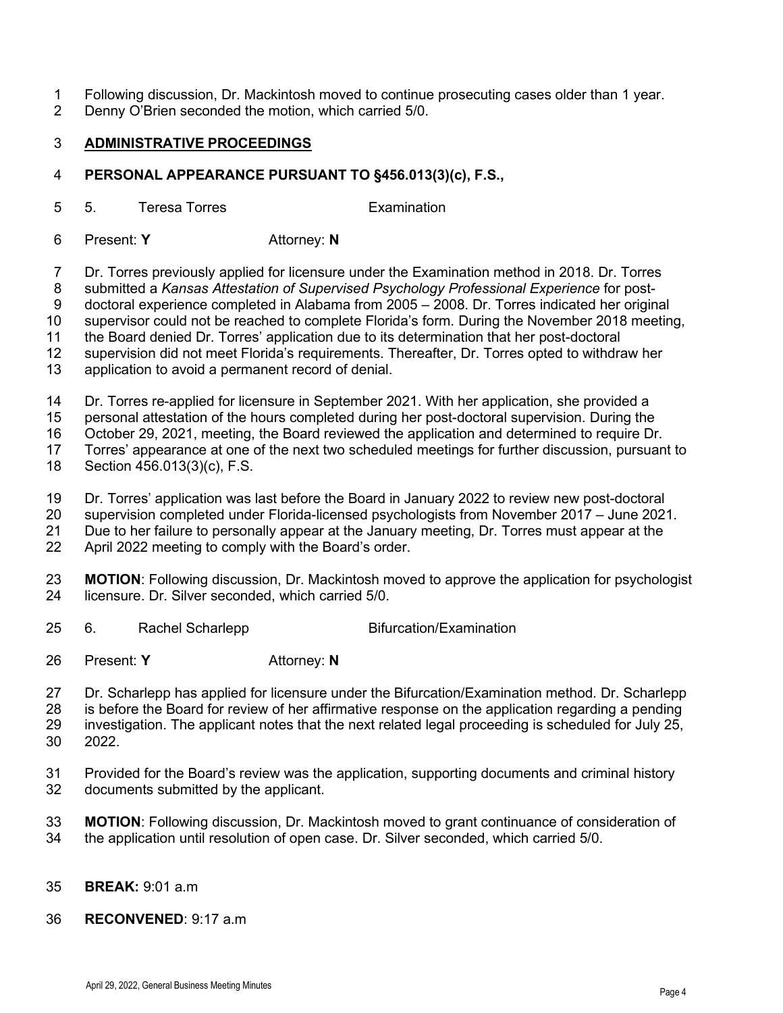- 1 Following discussion, Dr. Mackintosh moved to continue prosecuting cases older than 1 year.
- 2 Denny O'Brien seconded the motion, which carried 5/0.

# **ADMINISTRATIVE PROCEEDINGS**

## **PERSONAL APPEARANCE PURSUANT TO §456.013(3)(c), F.S.,**

5 5. Teresa Torres Examination

6 Present: **Y** Attorney: **N**

7 Dr. Torres previously applied for licensure under the Examination method in 2018. Dr. Torres

8 submitted a *Kansas Attestation of Supervised Psychology Professional Experience* for post-

9 doctoral experience completed in Alabama from 2005 – 2008. Dr. Torres indicated her original

supervisor could not be reached to complete Florida's form. During the November 2018 meeting,

the Board denied Dr. Torres' application due to its determination that her post-doctoral

supervision did not meet Florida's requirements. Thereafter, Dr. Torres opted to withdraw her

application to avoid a permanent record of denial.

Dr. Torres re-applied for licensure in September 2021. With her application, she provided a

personal attestation of the hours completed during her post-doctoral supervision. During the

16 October 29, 2021, meeting, the Board reviewed the application and determined to require Dr.<br>17 Torres' appearance at one of the next two scheduled meetings for further discussion, pursuan

Torres' appearance at one of the next two scheduled meetings for further discussion, pursuant to

Section 456.013(3)(c), F.S.

Dr. Torres' application was last before the Board in January 2022 to review new post-doctoral

supervision completed under Florida-licensed psychologists from November 2017 – June 2021.

Due to her failure to personally appear at the January meeting, Dr. Torres must appear at the

April 2022 meeting to comply with the Board's order.

**MOTION**: Following discussion, Dr. Mackintosh moved to approve the application for psychologist 24 licensure. Dr. Silver seconded. which carried 5/0. licensure. Dr. Silver seconded, which carried 5/0.

- 25 6. Rachel Scharlepp Bifurcation/Examination
- Present: **Y** Attorney: **N**

Dr. Scharlepp has applied for licensure under the Bifurcation/Examination method. Dr. Scharlepp

28 is before the Board for review of her affirmative response on the application regarding a pending<br>29 investigation. The applicant notes that the next related legal proceeding is scheduled for July 25.

investigation. The applicant notes that the next related legal proceeding is scheduled for July 25, 2022.

- Provided for the Board's review was the application, supporting documents and criminal history documents submitted by the applicant.
- **MOTION**: Following discussion, Dr. Mackintosh moved to grant continuance of consideration of the application until resolution of open case. Dr. Silver seconded, which carried 5/0.
- **BREAK:** 9:01 a.m
- **RECONVENED**: 9:17 a.m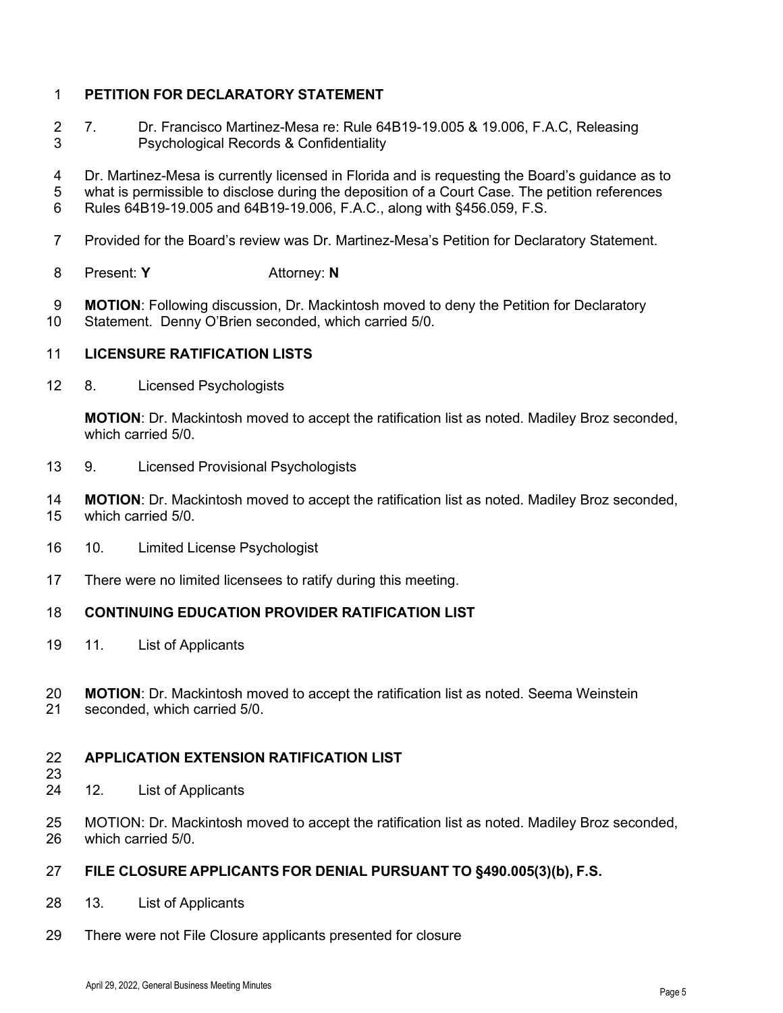# **PETITION FOR DECLARATORY STATEMENT**

- 7. Dr. Francisco Martinez-Mesa re: Rule 64B19-19.005 & 19.006, F.A.C, Releasing Psychological Records & Confidentiality
- Dr. Martinez-Mesa is currently licensed in Florida and is requesting the Board's guidance as to
- what is permissible to disclose during the deposition of a Court Case. The petition references
- Rules 64B19-19.005 and 64B19-19.006, F.A.C., along with §456.059, F.S.
- Provided for the Board's review was Dr. Martinez-Mesa's Petition for Declaratory Statement.
- Present: **Y** Attorney: **N**
- **MOTION**: Following discussion, Dr. Mackintosh moved to deny the Petition for Declaratory Statement. Denny O'Brien seconded, which carried 5/0.

# **LICENSURE RATIFICATION LISTS**

8. Licensed Psychologists

**MOTION**: Dr. Mackintosh moved to accept the ratification list as noted. Madiley Broz seconded, which carried 5/0.

- 9. Licensed Provisional Psychologists
- **MOTION**: Dr. Mackintosh moved to accept the ratification list as noted. Madiley Broz seconded, which carried 5/0.
- 10. Limited License Psychologist
- There were no limited licensees to ratify during this meeting.

### **CONTINUING EDUCATION PROVIDER RATIFICATION LIST**

- 11. List of Applicants
- **MOTION**: Dr. Mackintosh moved to accept the ratification list as noted. Seema Weinstein seconded, which carried 5/0.
- 

#### **APPLICATION EXTENSION RATIFICATION LIST**

- 
- 12. List of Applicants
- MOTION: Dr. Mackintosh moved to accept the ratification list as noted. Madiley Broz seconded, which carried 5/0.

# **FILE CLOSURE APPLICANTS FOR DENIAL PURSUANT TO §490.005(3)(b), F.S.**

- 13. List of Applicants
- There were not File Closure applicants presented for closure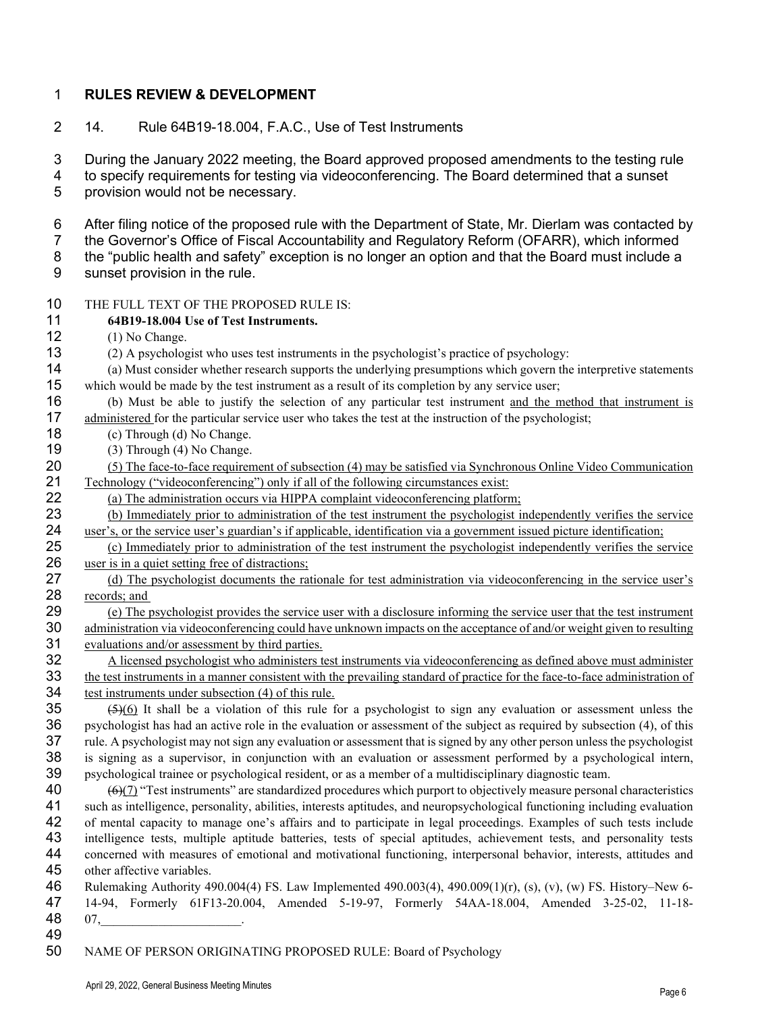# 1 **RULES REVIEW & DEVELOPMENT**

2 14. Rule 64B19-18.004, F.A.C., Use of Test Instruments

3 During the January 2022 meeting, the Board approved proposed amendments to the testing rule

4 to specify requirements for testing via videoconferencing. The Board determined that a sunset 5 provision would not be necessary.

6 After filing notice of the proposed rule with the Department of State, Mr. Dierlam was contacted by

7 the Governor's Office of Fiscal Accountability and Regulatory Reform (OFARR), which informed 8 the "public health and safety" exception is no longer an option and that the Board must include a

- 9 sunset provision in the rule.
- 10 THE FULL TEXT OF THE PROPOSED RULE IS:

# 11 **64B19-18.004 Use of Test Instruments.**

- 12 (1) No Change.
- 13 (2) A psychologist who uses test instruments in the psychologist's practice of psychology:
- 14 (a) Must consider whether research supports the underlying presumptions which govern the interpretive statements 15 which would be made by the test instrument as a result of its completion by any service user;
- 16 (b) Must be able to justify the selection of any particular test instrument and the method that instrument is 17 administered for the particular service user who takes the test at the instruction of the psychologist;
- 18 (c) Through (d) No Change.
- 19 (3) Through (4) No Change.<br>20 (5) The face-to-face requiren
- 20 (5) The face-to-face requirement of subsection (4) may be satisfied via Synchronous Online Video Communication<br>21 Technology ("videoconferencing") only if all of the following circumstances exist: 21 Technology ("videoconferencing") only if all of the following circumstances exist:<br>22 (a) The administration occurs via HIPPA complaint videoconferencing platform
- 22 (a) The administration occurs via HIPPA complaint videoconferencing platform;<br>23 (b) Immediately prior to administration of the test instrument the psychologist in

23 (b) Immediately prior to administration of the test instrument the psychologist independently verifies the service 24 user's, or the service user's guardian's if applicable, identification via a government issued picture identification;<br>25 (c) Immediately prior to administration of the test instrument the psychologist independently ver

25 (c) Immediately prior to administration of the test instrument the psychologist independently verifies the service 26 user is in a quiet setting free of distractions: user is in a quiet setting free of distractions;

- 27 (d) The psychologist documents the rationale for test administration via videoconferencing in the service user's 28  $\frac{\text{records; and}}{\text{(e) The p}}$
- 29 (e) The psychologist provides the service user with a disclosure informing the service user that the test instrument<br>30 administration via videoconferencing could have unknown impacts on the acceptance of and/or weight administration via videoconferencing could have unknown impacts on the acceptance of and/or weight given to resulting 31 evaluations and/or assessment by third parties.

32 A licensed psychologist who administers test instruments via videoconferencing as defined above must administer<br>33 the test instruments in a manner consistent with the prevailing standard of practice for the face-to-fac 33 the test instruments in a manner consistent with the prevailing standard of practice for the face-to-face administration of test instruments under subsection (4) of this rule. 34 test instruments under subsection (4) of this rule.<br>35  $(5)(6)$  It shall be a violation of this rule f

 $\frac{(5)(6)}{16}$  It shall be a violation of this rule for a psychologist to sign any evaluation or assessment unless the psychologist has had an active role in the evaluation or assessment of the subject as required by subse 36 psychologist has had an active role in the evaluation or assessment of the subject as required by subsection (4), of this 37 rule. A psychologist may not sign any evaluation or assessment that is signed by any other person unless the psychologist 38 is signing as a supervisor, in conjunction with an evaluation or assessment performed by a psychological intern, 39 psychological trainee or psychological resident, or as a member of a multidisciplinary diagnostic team.<br>40  $(6)$  (6)(7) "Test instruments" are standardized procedures which purport to objectively measure personal

- $(6)$ (7) "Test instruments" are standardized procedures which purport to objectively measure personal characteristics 41 such as intelligence, personality, abilities, interests aptitudes, and neuropsychological functioning including evaluation 42 of mental capacity to manage one's affairs and to participate in legal proceedings. Examples of such tests include 43 intelligence tests, multiple aptitude batteries, tests of special aptitudes, achievement tests, and personality tests<br>44 concerned with measures of emotional and motivational functioning, interpersonal behavior, interes 44 concerned with measures of emotional and motivational functioning, interpersonal behavior, interests, attitudes and 45 other affective variables.
- 46 Rulemaking Authority 490.004(4) FS. Law Implemented 490.003(4), 490.009(1)(r), (s), (v), (w) FS. History–New 6- 47 14-94, Formerly 61F13-20.004, Amended 5-19-97, Formerly 54AA-18.004, Amended 3-25-02, 11-18- 48 07,\_\_\_\_\_\_\_\_\_\_\_\_\_\_\_\_\_\_\_\_\_\_.
- 49
- 50 NAME OF PERSON ORIGINATING PROPOSED RULE: Board of Psychology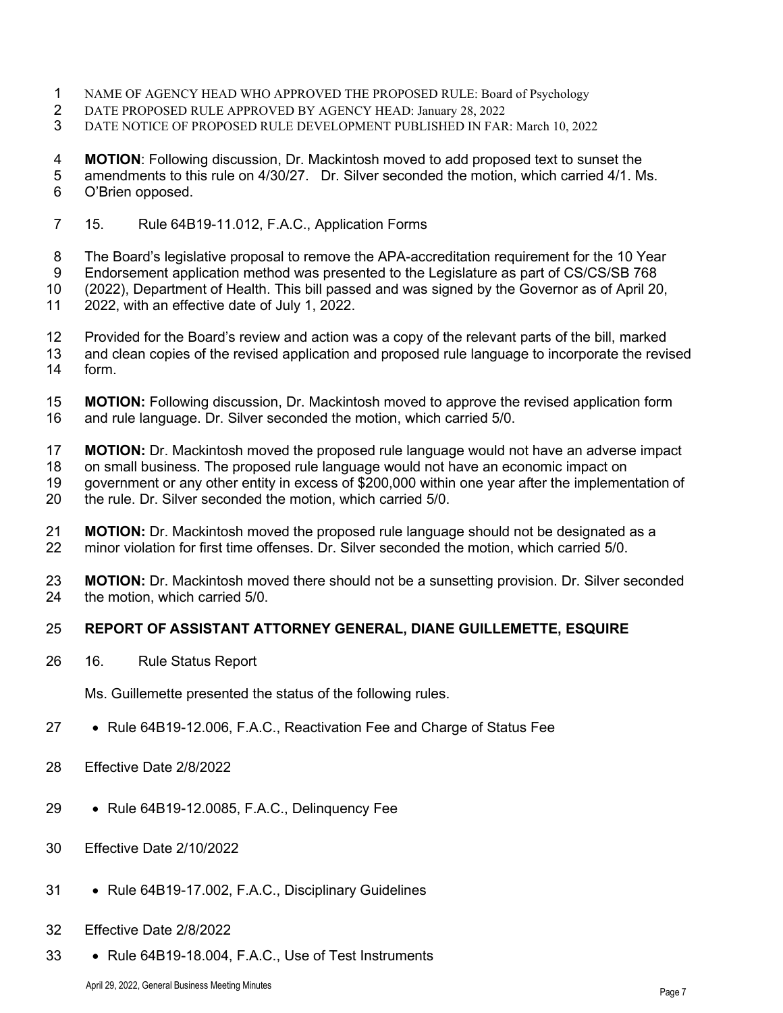- NAME OF AGENCY HEAD WHO APPROVED THE PROPOSED RULE: Board of Psychology
- 2 DATE PROPOSED RULE APPROVED BY AGENCY HEAD: January 28, 2022<br>3 DATE NOTICE OF PROPOSED RULE DEVELOPMENT PUBLISHED IN FAR
- DATE NOTICE OF PROPOSED RULE DEVELOPMENT PUBLISHED IN FAR: March 10, 2022

**MOTION**: Following discussion, Dr. Mackintosh moved to add proposed text to sunset the

 amendments to this rule on 4/30/27. Dr. Silver seconded the motion, which carried 4/1. Ms. O'Brien opposed.

15. Rule 64B19-11.012, F.A.C., Application Forms

The Board's legislative proposal to remove the APA-accreditation requirement for the 10 Year

Endorsement application method was presented to the Legislature as part of CS/CS/SB 768

(2022), Department of Health. This bill passed and was signed by the Governor as of April 20,

- 2022, with an effective date of July 1, 2022.
- Provided for the Board's review and action was a copy of the relevant parts of the bill, marked
- and clean copies of the revised application and proposed rule language to incorporate the revised form.
- **MOTION:** Following discussion, Dr. Mackintosh moved to approve the revised application form 16 and rule language. Dr. Silver seconded the motion, which carried 5/0. and rule language. Dr. Silver seconded the motion, which carried 5/0.
- **MOTION:** Dr. Mackintosh moved the proposed rule language would not have an adverse impact
- on small business. The proposed rule language would not have an economic impact on
- 19 government or any other entity in excess of \$200,000 within one year after the implementation of 20<br>20 the rule. Dr. Silver seconded the motion, which carried 5/0.
- the rule. Dr. Silver seconded the motion, which carried 5/0.
- 21 **MOTION:** Dr. Mackintosh moved the proposed rule language should not be designated as a<br>22 minor violation for first time offenses. Dr. Silver seconded the motion, which carried 5/0. minor violation for first time offenses. Dr. Silver seconded the motion, which carried 5/0.
- **MOTION:** Dr. Mackintosh moved there should not be a sunsetting provision. Dr. Silver seconded 24 the motion. which carried 5/0. the motion, which carried 5/0.

# **REPORT OF ASSISTANT ATTORNEY GENERAL, DIANE GUILLEMETTE, ESQUIRE**

16. Rule Status Report

Ms. Guillemette presented the status of the following rules.

- Rule 64B19-12.006, F.A.C., Reactivation Fee and Charge of Status Fee
- Effective Date 2/8/2022
- Rule 64B19-12.0085, F.A.C., Delinquency Fee
- Effective Date 2/10/2022
- Rule 64B19-17.002, F.A.C., Disciplinary Guidelines
- Effective Date 2/8/2022
- Rule 64B19-18.004, F.A.C., Use of Test Instruments